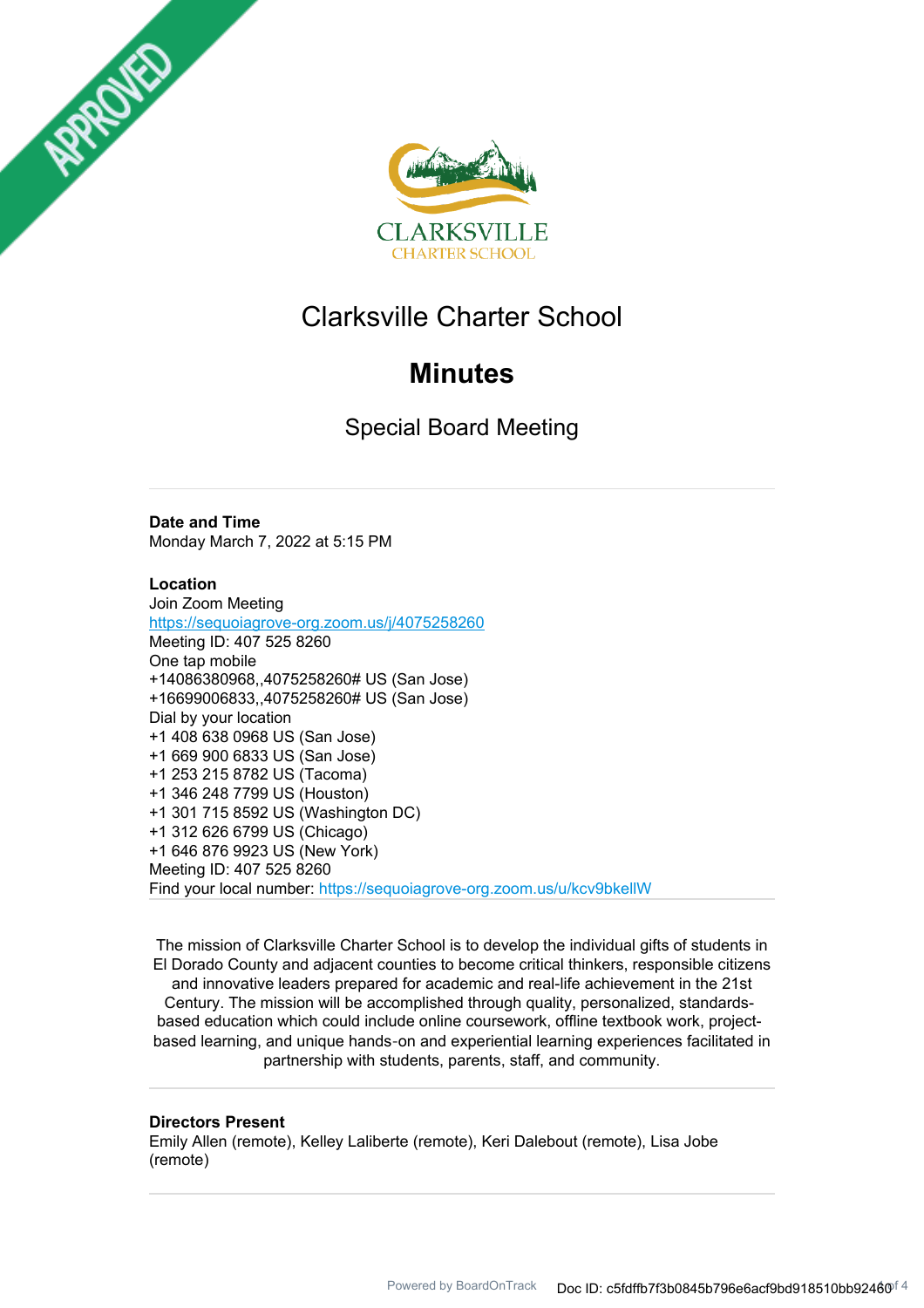



# Clarksville Charter School

# **Minutes**

Special Board Meeting

## **Date and Time**

Monday March 7, 2022 at 5:15 PM

## **Location**

Join Zoom Meeting https://sequoiagrove-org.zoom.us/j/4075258260 Meeting ID: 407 525 8260 One tap mobile +14086380968,,4075258260# US (San Jose) +16699006833,,4075258260# US (San Jose) Dial by your location +1 408 638 0968 US (San Jose) +1 669 900 6833 US (San Jose) +1 253 215 8782 US (Tacoma) +1 346 248 7799 US (Houston) +1 301 715 8592 US (Washington DC) +1 312 626 6799 US (Chicago) +1 646 876 9923 US (New York) Meeting ID: 407 525 8260 Find your local number: https://sequoiagrove-org.zoom.us/u/kcv9bkellW

The mission of Clarksville Charter School is to develop the individual gifts of students in El Dorado County and adjacent counties to become critical thinkers, responsible citizens and innovative leaders prepared for academic and real-life achievement in the 21st Century. The mission will be accomplished through quality, personalized, standardsbased education which could include online coursework, offline textbook work, projectbased learning, and unique hands‐on and experiential learning experiences facilitated in partnership with students, parents, staff, and community.

## **Directors Present**

Emily Allen (remote), Kelley Laliberte (remote), Keri Dalebout (remote), Lisa Jobe (remote)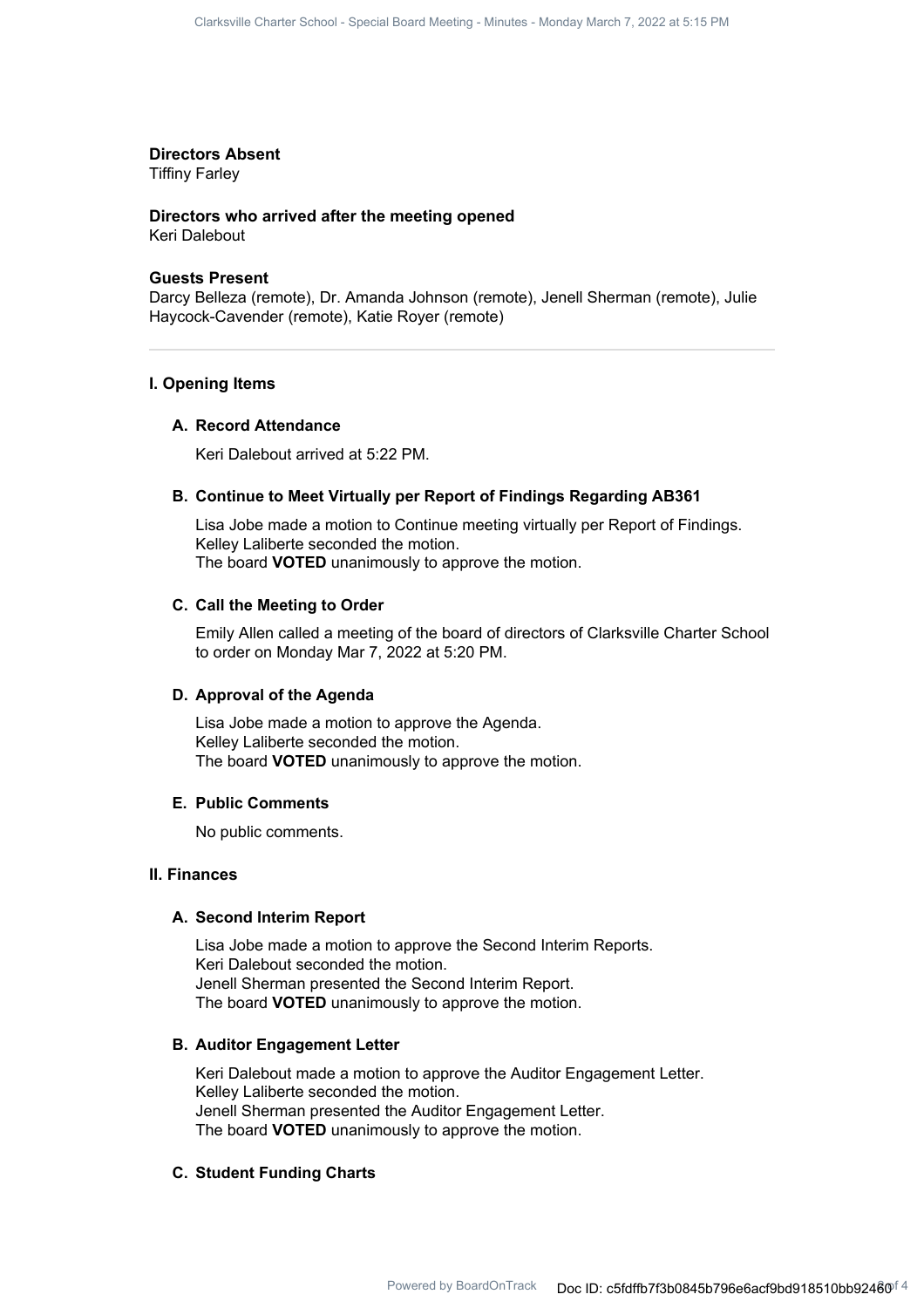## **Directors Absent**

Tiffiny Farley

## **Directors who arrived after the meeting opened**

Keri Dalebout

#### **Guests Present**

Darcy Belleza (remote), Dr. Amanda Johnson (remote), Jenell Sherman (remote), Julie Haycock-Cavender (remote), Katie Royer (remote)

## **I. Opening Items**

#### **A. Record Attendance**

Keri Dalebout arrived at 5:22 PM.

#### **B. Continue to Meet Virtually per Report of Findings Regarding AB361**

Lisa Jobe made a motion to Continue meeting virtually per Report of Findings. Kelley Laliberte seconded the motion. The board **VOTED** unanimously to approve the motion.

## **C. Call the Meeting to Order**

Emily Allen called a meeting of the board of directors of Clarksville Charter School to order on Monday Mar 7, 2022 at 5:20 PM.

## **D. Approval of the Agenda**

Lisa Jobe made a motion to approve the Agenda. Kelley Laliberte seconded the motion. The board **VOTED** unanimously to approve the motion.

#### **E. Public Comments**

No public comments.

## **II. Finances**

#### **A. Second Interim Report**

Lisa Jobe made a motion to approve the Second Interim Reports. Keri Dalebout seconded the motion. Jenell Sherman presented the Second Interim Report. The board **VOTED** unanimously to approve the motion.

## **B. Auditor Engagement Letter**

Keri Dalebout made a motion to approve the Auditor Engagement Letter. Kelley Laliberte seconded the motion. Jenell Sherman presented the Auditor Engagement Letter. The board **VOTED** unanimously to approve the motion.

## **C. Student Funding Charts**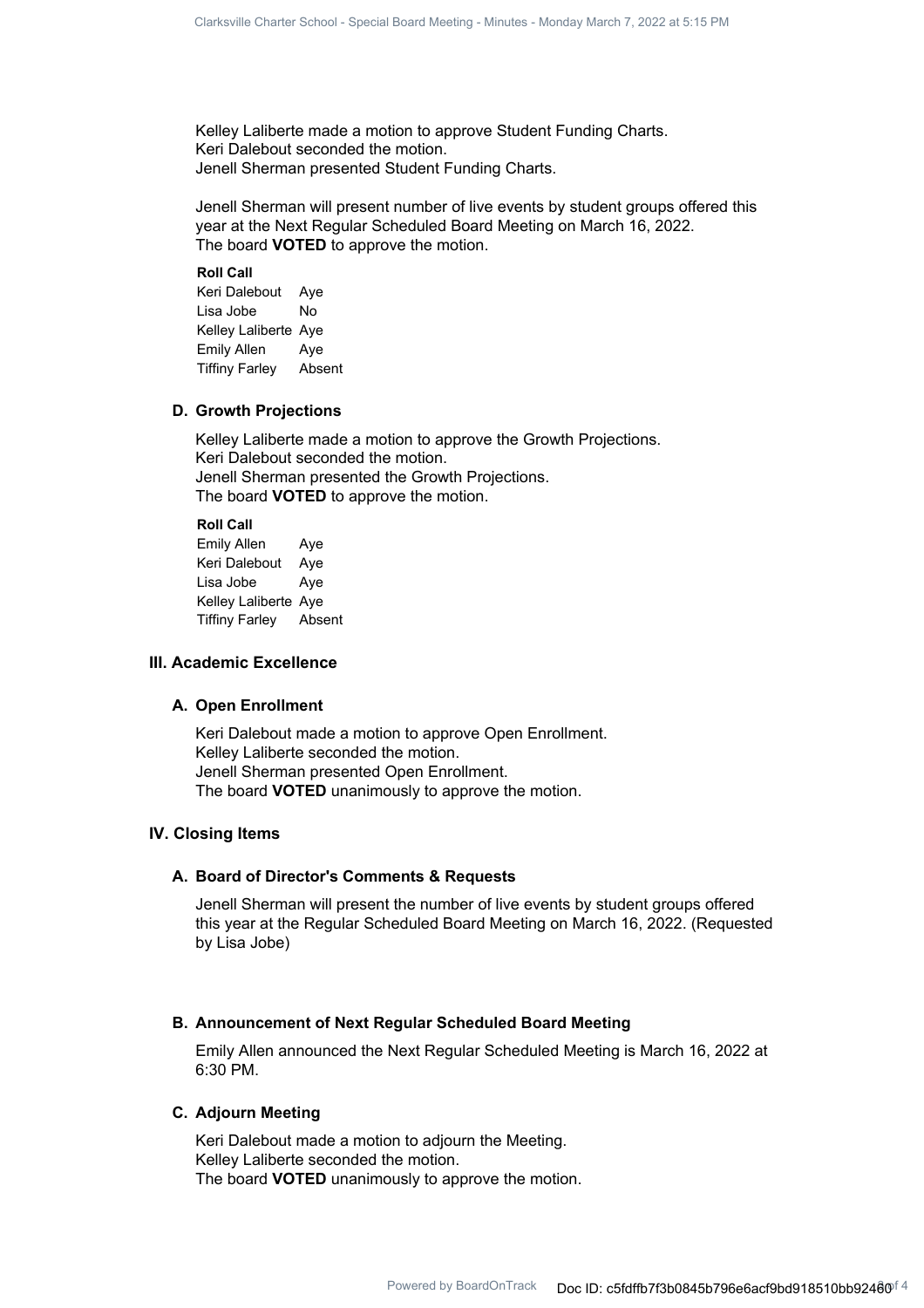Kelley Laliberte made a motion to approve Student Funding Charts. Keri Dalebout seconded the motion. Jenell Sherman presented Student Funding Charts.

Jenell Sherman will present number of live events by student groups offered this year at the Next Regular Scheduled Board Meeting on March 16, 2022. The board **VOTED** to approve the motion.

**Roll Call** Keri Dalebout Aye Lisa Jobe No Kelley Laliberte Aye Emily Allen Aye Tiffiny Farley Absent

## **D. Growth Projections**

Kelley Laliberte made a motion to approve the Growth Projections. Keri Dalebout seconded the motion. Jenell Sherman presented the Growth Projections. The board **VOTED** to approve the motion.

## **Roll Call**

Emily Allen Aye Keri Dalebout Aye Lisa Jobe Aye Kelley Laliberte Aye Tiffiny Farley Absent

## **III. Academic Excellence**

#### **A. Open Enrollment**

Keri Dalebout made a motion to approve Open Enrollment. Kelley Laliberte seconded the motion. Jenell Sherman presented Open Enrollment. The board **VOTED** unanimously to approve the motion.

## **IV. Closing Items**

## **A. Board of Director's Comments & Requests**

Jenell Sherman will present the number of live events by student groups offered this year at the Regular Scheduled Board Meeting on March 16, 2022. (Requested by Lisa Jobe)

## **B. Announcement of Next Regular Scheduled Board Meeting**

Emily Allen announced the Next Regular Scheduled Meeting is March 16, 2022 at 6:30 PM.

## **C. Adjourn Meeting**

Keri Dalebout made a motion to adjourn the Meeting. Kelley Laliberte seconded the motion. The board **VOTED** unanimously to approve the motion.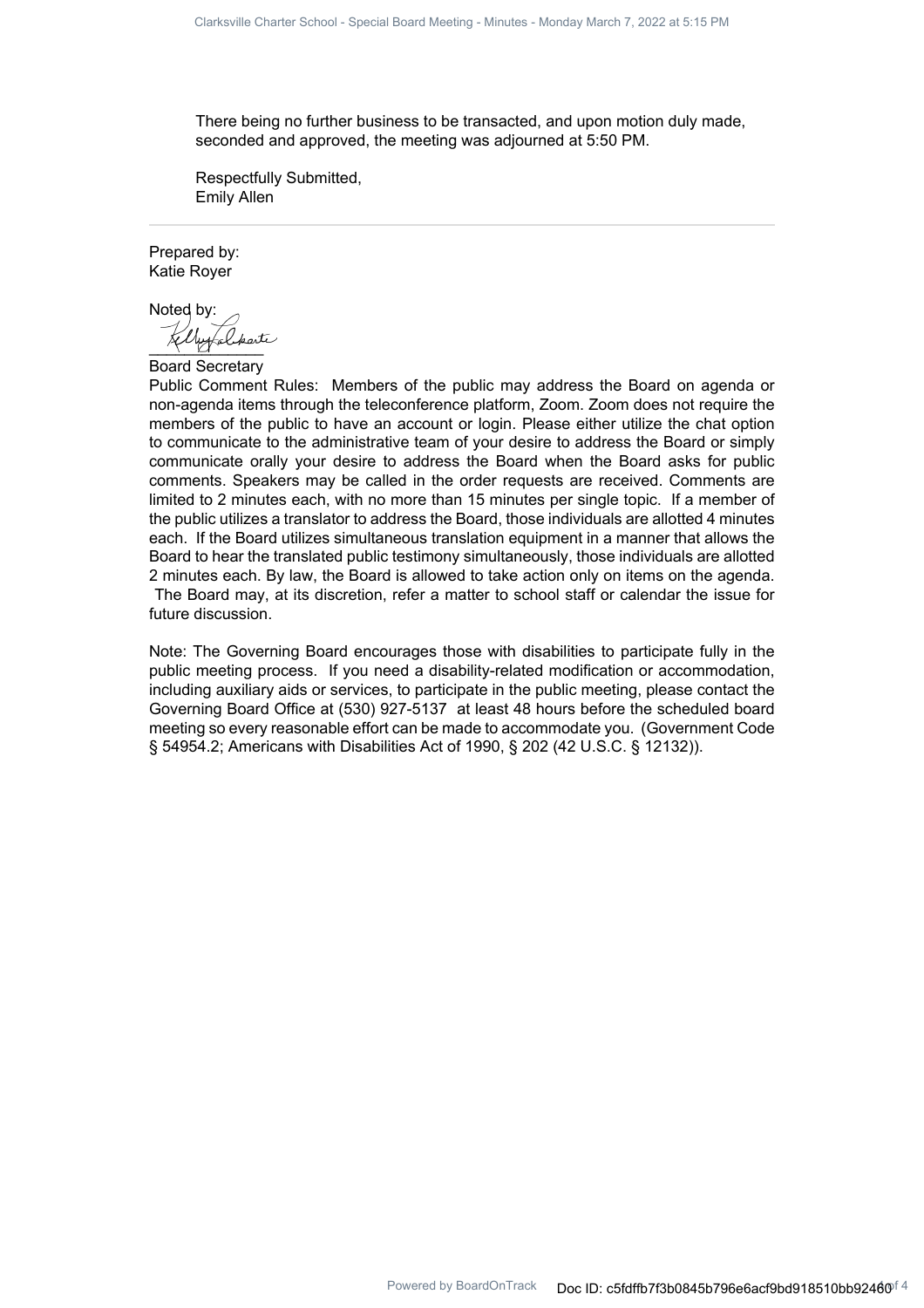There being no further business to be transacted, and upon motion duly made, seconded and approved, the meeting was adjourned at 5:50 PM.

Respectfully Submitted, Emily Allen

Prepared by: Katie Royer

Noted by: Untalparte

Board Secretary

Public Comment Rules: Members of the public may address the Board on agenda or non-agenda items through the teleconference platform, Zoom. Zoom does not require the members of the public to have an account or login. Please either utilize the chat option to communicate to the administrative team of your desire to address the Board or simply communicate orally your desire to address the Board when the Board asks for public comments. Speakers may be called in the order requests are received. Comments are limited to 2 minutes each, with no more than 15 minutes per single topic. If a member of the public utilizes a translator to address the Board, those individuals are allotted 4 minutes each. If the Board utilizes simultaneous translation equipment in a manner that allows the Board to hear the translated public testimony simultaneously, those individuals are allotted 2 minutes each. By law, the Board is allowed to take action only on items on the agenda. The Board may, at its discretion, refer a matter to school staff or calendar the issue for future discussion.

Note: The Governing Board encourages those with disabilities to participate fully in the public meeting process. If you need a disability-related modification or accommodation, including auxiliary aids or services, to participate in the public meeting, please contact the Governing Board Office at (530) 927-5137 at least 48 hours before the scheduled board meeting so every reasonable effort can be made to accommodate you. (Government Code § 54954.2; Americans with Disabilities Act of 1990, § 202 (42 U.S.C. § 12132)).